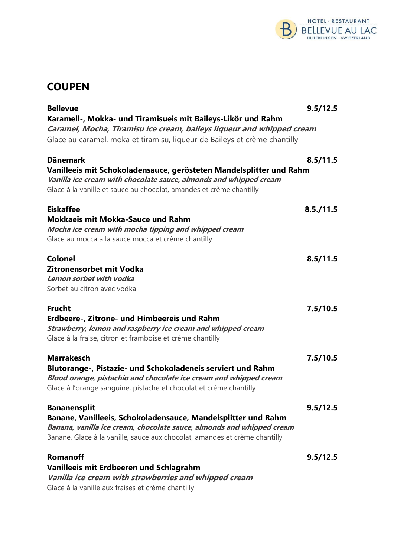

# **COUPEN**

| <b>Bellevue</b>                                                            | 9.5/12.5  |
|----------------------------------------------------------------------------|-----------|
| Karamell-, Mokka- und Tiramisueis mit Baileys-Likör und Rahm               |           |
| Caramel, Mocha, Tiramisu ice cream, baileys liqueur and whipped cream      |           |
| Glace au caramel, moka et tiramisu, liqueur de Baileys et crème chantilly  |           |
| <b>Dänemark</b>                                                            | 8.5/11.5  |
| Vanilleeis mit Schokoladensauce, gerösteten Mandelsplitter und Rahm        |           |
| Vanilla ice cream with chocolate sauce, almonds and whipped cream          |           |
| Glace à la vanille et sauce au chocolat, amandes et crème chantilly        |           |
| <b>Eiskaffee</b>                                                           | 8.5./11.5 |
| <b>Mokkaeis mit Mokka-Sauce und Rahm</b>                                   |           |
| Mocha ice cream with mocha tipping and whipped cream                       |           |
| Glace au mocca à la sauce mocca et crème chantilly                         |           |
| Colonel                                                                    | 8.5/11.5  |
| Zitronensorbet mit Vodka                                                   |           |
| Lemon sorbet with vodka                                                    |           |
| Sorbet au citron avec vodka                                                |           |
| <b>Frucht</b>                                                              | 7.5/10.5  |
| Erdbeere-, Zitrone- und Himbeereis und Rahm                                |           |
| Strawberry, lemon and raspberry ice cream and whipped cream                |           |
| Glace à la fraise, citron et framboise et crème chantilly                  |           |
| <b>Marrakesch</b>                                                          | 7.5/10.5  |
| Blutorange-, Pistazie- und Schokoladeneis serviert und Rahm                |           |
| Blood orange, pistachio and chocolate ice cream and whipped cream          |           |
| Glace à l'orange sanguine, pistache et chocolat et crème chantilly         |           |
| <b>Bananensplit</b>                                                        | 9.5/12.5  |
| Banane, Vanilleeis, Schokoladensauce, Mandelsplitter und Rahm              |           |
| Banana, vanilla ice cream, chocolate sauce, almonds and whipped cream      |           |
| Banane, Glace à la vanille, sauce aux chocolat, amandes et crème chantilly |           |
| <b>Romanoff</b>                                                            | 9.5/12.5  |
| Vanilleeis mit Erdbeeren und Schlagrahm                                    |           |
| Vanilla ice cream with strawberries and whipped cream                      |           |
| Glace à la vanille aux fraises et crème chantilly                          |           |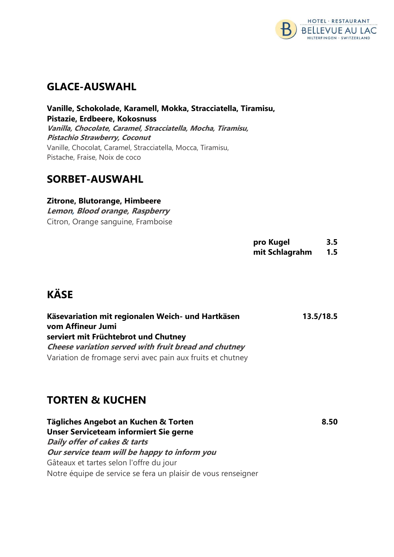

### GLACE-AUSWAHL

Vanille, Schokolade, Karamell, Mokka, Stracciatella, Tiramisu, Pistazie, Erdbeere, Kokosnuss Vanilla, Chocolate, Caramel, Stracciatella, Mocha, Tiramisu, Pistachio Strawberry, Coconut Vanille, Chocolat, Caramel, Stracciatella, Mocca, Tiramisu, Pistache, Fraise, Noix de coco

### SORBET-AUSWAHL

Zitrone, Blutorange, Himbeere Lemon, Blood orange, Raspberry Citron, Orange sanguine, Framboise

> pro Kugel 3.5 mit Schlagrahm 1.5

# KÄSE

| Käsevariation mit regionalen Weich- und Hartkäsen          | 13.5/18.5 |
|------------------------------------------------------------|-----------|
| vom Affineur Jumi                                          |           |
| serviert mit Früchtebrot und Chutney                       |           |
| Cheese variation served with fruit bread and chutney       |           |
| Variation de fromage servi avec pain aux fruits et chutney |           |

# TORTEN & KUCHEN

Tägliches Angebot an Kuchen & Torten 8.50 Unser Serviceteam informiert Sie gerne Daily offer of cakes & tarts Our service team will be happy to inform you Gâteaux et tartes selon l'offre du jour Notre équipe de service se fera un plaisir de vous renseigner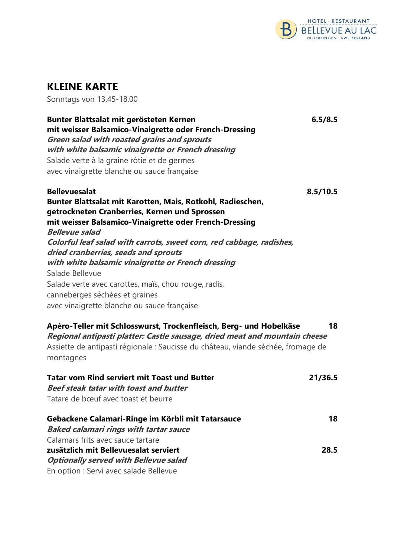

# KLEINE KARTE

Sonntags von 13.45-18.00

| Bunter Blattsalat mit gerösteten Kernen<br>mit weisser Balsamico-Vinaigrette oder French-Dressing<br>Green salad with roasted grains and sprouts<br>with white balsamic vinaigrette or French dressing<br>Salade verte à la graine rôtie et de germes<br>avec vinaigrette blanche ou sauce française                                                                                                                                                                                                                                                     | 6.5/8.5  |
|----------------------------------------------------------------------------------------------------------------------------------------------------------------------------------------------------------------------------------------------------------------------------------------------------------------------------------------------------------------------------------------------------------------------------------------------------------------------------------------------------------------------------------------------------------|----------|
| <b>Bellevuesalat</b><br>Bunter Blattsalat mit Karotten, Mais, Rotkohl, Radieschen,<br>getrockneten Cranberries, Kernen und Sprossen<br>mit weisser Balsamico-Vinaigrette oder French-Dressing<br><b>Bellevue salad</b><br>Colorful leaf salad with carrots, sweet corn, red cabbage, radishes,<br>dried cranberries, seeds and sprouts<br>with white balsamic vinaigrette or French dressing<br>Salade Bellevue<br>Salade verte avec carottes, maïs, chou rouge, radis,<br>canneberges séchées et graines<br>avec vinaigrette blanche ou sauce française | 8.5/10.5 |
| Apéro-Teller mit Schlosswurst, Trockenfleisch, Berg- und Hobelkäse<br>Regional antipasti platter: Castle sausage, dried meat and mountain cheese<br>Assiette de antipasti régionale : Saucisse du château, viande séchée, fromage de<br>montagnes                                                                                                                                                                                                                                                                                                        | 18       |
| <b>Tatar vom Rind serviert mit Toast und Butter</b><br><b>Beef steak tatar with toast and butter</b><br>Tatare de bœuf avec toast et beurre                                                                                                                                                                                                                                                                                                                                                                                                              | 21/36.5  |
| Gebackene Calamari-Ringe im Körbli mit Tatarsauce<br><b>Baked calamari rings with tartar sauce</b>                                                                                                                                                                                                                                                                                                                                                                                                                                                       | 18       |
| Calamars frits avec sauce tartare<br>zusätzlich mit Bellevuesalat serviert<br><b>Optionally served with Bellevue salad</b>                                                                                                                                                                                                                                                                                                                                                                                                                               | 28.5     |

En option : Servi avec salade Bellevue